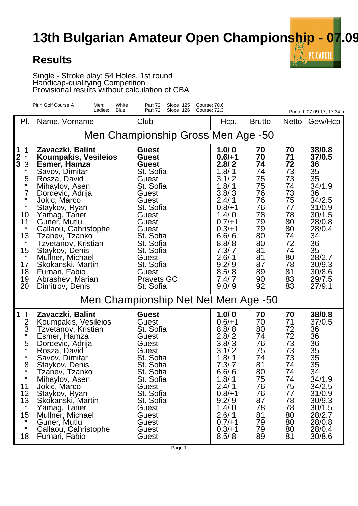## **13th Bulgarian Amateur Open Championship - 07.09**

 $\mathbb{Z}_2$  PC CADDIE

## **Results**

Single - Stroke play; 54 Holes, 1st round Handicap-qualifying Competition Provisional results without calculation of CBA

|                                                                                                                                                                    | Pirin Golf Course A<br>White<br>Men:<br>Ladies:<br>Blue                                                                                                                                                                                                                                                                                                                                | Slope: 125<br>Par: 72<br>Par: 72<br>Slope: 126                                                                                                                                                                                                    | Course: 70.6<br><b>Course: 72.3</b>                                                                                                                                                          |                                                                                                                      |                                                                                                                      | Printed: 07.09.17, 17:34 h                                                                                                                                               |  |  |  |  |
|--------------------------------------------------------------------------------------------------------------------------------------------------------------------|----------------------------------------------------------------------------------------------------------------------------------------------------------------------------------------------------------------------------------------------------------------------------------------------------------------------------------------------------------------------------------------|---------------------------------------------------------------------------------------------------------------------------------------------------------------------------------------------------------------------------------------------------|----------------------------------------------------------------------------------------------------------------------------------------------------------------------------------------------|----------------------------------------------------------------------------------------------------------------------|----------------------------------------------------------------------------------------------------------------------|--------------------------------------------------------------------------------------------------------------------------------------------------------------------------|--|--|--|--|
| PI.                                                                                                                                                                | Name, Vorname                                                                                                                                                                                                                                                                                                                                                                          | Club                                                                                                                                                                                                                                              | Hcp.                                                                                                                                                                                         | <b>Brutto</b>                                                                                                        | <b>Netto</b>                                                                                                         | Gew/Hcp                                                                                                                                                                  |  |  |  |  |
| Men Championship Gross Men Age -50                                                                                                                                 |                                                                                                                                                                                                                                                                                                                                                                                        |                                                                                                                                                                                                                                                   |                                                                                                                                                                                              |                                                                                                                      |                                                                                                                      |                                                                                                                                                                          |  |  |  |  |
| 1<br>2<br>3<br>1<br>$\star$<br>3<br>*<br>$\frac{5}{1}$<br>7<br>$\star$<br>$\star$<br>10<br>11<br>$\star$<br>13<br>$\star$<br>15<br>$\star$<br>17<br>18<br>19<br>20 | Zavaczki, Balint<br>Koumpakis, Vesileios<br>Esmer, Hamza<br>Savov, Dimitar<br>Rosza, David<br>Mihaylov, Asen<br>Dordevic, Adrija<br>Jokic, Marco<br>Staykov, Ryan<br>Yamag, Taner<br>Guner, Mutlu<br>Callaou, Cahristophe<br>Tzanev, Tzanko<br>Tzvetanov, Kristian<br>Staykov, Denis<br>Mullner, Michael<br>Skokanski, Martin<br>Furnari, Fabio<br>Abrashev, Marian<br>Dimitrov, Denis | <b>Guest</b><br><b>Guest</b><br><b>Guest</b><br>St. Sofia<br>Guest<br>St. Sofia<br>Guest<br>Guest<br>St. Sofia<br>Guest<br>Guest<br>Guest<br>St. Sofia<br>St. Sofia<br>St. Sofia<br>Guest<br>St. Sofia<br>Guest<br><b>Pravets GC</b><br>St. Sofia | 1.0/0<br>$0.6/+1$<br>2.8/2<br>1.8/1<br>3.1/2<br>1.8/1<br>3.8/3<br>2.4/1<br>$0.8/+1$<br>1.4/0<br>$0.7/+1$<br>$0.3/+1$<br>6.6/6<br>8.8/8<br>7.3/7<br>2.6/1<br>9.2/9<br>8.5/8<br>7.4/7<br>9.0/9 | 70<br>70<br>74<br>74<br>75<br>75<br>76<br>76<br>76<br>78<br>79<br>79<br>80<br>80<br>81<br>81<br>87<br>89<br>90<br>92 | 70<br>71<br>72<br>73<br>73<br>74<br>73<br>75<br>77<br>78<br>80<br>80<br>74<br>72<br>74<br>80<br>78<br>81<br>83<br>83 | 38/0.8<br>37/0.5<br>36<br>35<br>35<br>34/1.9<br>36<br>34/2.5<br>31/0.9<br>30/1.5<br>28/0.8<br>28/0.4<br>34<br>36<br>35<br>28/2.7<br>30/9.3<br>30/8.6<br>29/7.5<br>27/9.1 |  |  |  |  |
| Men Championship Net Net Men Age -50                                                                                                                               |                                                                                                                                                                                                                                                                                                                                                                                        |                                                                                                                                                                                                                                                   |                                                                                                                                                                                              |                                                                                                                      |                                                                                                                      |                                                                                                                                                                          |  |  |  |  |
| 1<br>1<br>$rac{2}{3}$<br>$\star$<br>5<br>$\star$<br>$\star$<br>8<br>$\star$<br>11<br>12<br>13<br>$\star$<br>15<br>*<br>$\star$<br>18                               | Zavaczki, Balint<br>Koumpakis, Vesileios<br>Tzvetanov, Kristian<br>Esmer, Hamza<br>Dordevic, Adrija<br>Rosza, David<br>Savov, Dimitar<br>Staykov, Denis<br>Tzanev, Izanko<br>Mihaylov, Asen<br>Jokic, Marco<br>Staykov, Ryan<br>Skokanski, Martin<br>Yamag, Taner<br>Mullner, Michael<br>Guner, Mutlu<br>Callaou, Cahristophe<br>Furnari, Fabio                                        | <b>Guest</b><br>Guest<br>St. Sofia<br>Guest<br>Guest<br>Guest<br>St. Sofia<br>St. Sofia<br>St. Sofia<br>St. Sofia<br>Guest<br>St. Sofia<br>St. Sofia<br>Guest<br>Guest<br>Guest<br>Guest<br>Guest                                                 | 1.0/0<br>$0.6/+1$<br>8.8/8<br>2.8/2<br>3.8/3<br>3.1/2<br>1.8/1<br>7.3/7<br>6.6/6<br>1.8/1<br>2.4/1<br>$0.8/+1$<br>9.2/9<br>1.4/0<br>2.6/1<br>$0.7/+1$<br>$0.3/+1$<br>8.5/8                   | 70<br>70<br>80<br>74<br>76<br>75<br>74<br>81<br>80<br>75<br>76<br>76<br>87<br>78<br>81<br>79<br>79<br>89             | 70<br>71<br>72<br>72<br>73<br>73<br>73<br>74<br>74<br>74<br>75<br>77<br>78<br>78<br>80<br>80<br>80<br>81             | 38/0.8<br>37/0.5<br>36<br>36<br>36<br>35<br>35<br>35<br>34<br>34/1.9<br>34/2.5<br>31/0.9<br>30/9.3<br>30/1.5<br>28/2.7<br>28/0.8<br>28/0.4<br>30/8.6                     |  |  |  |  |